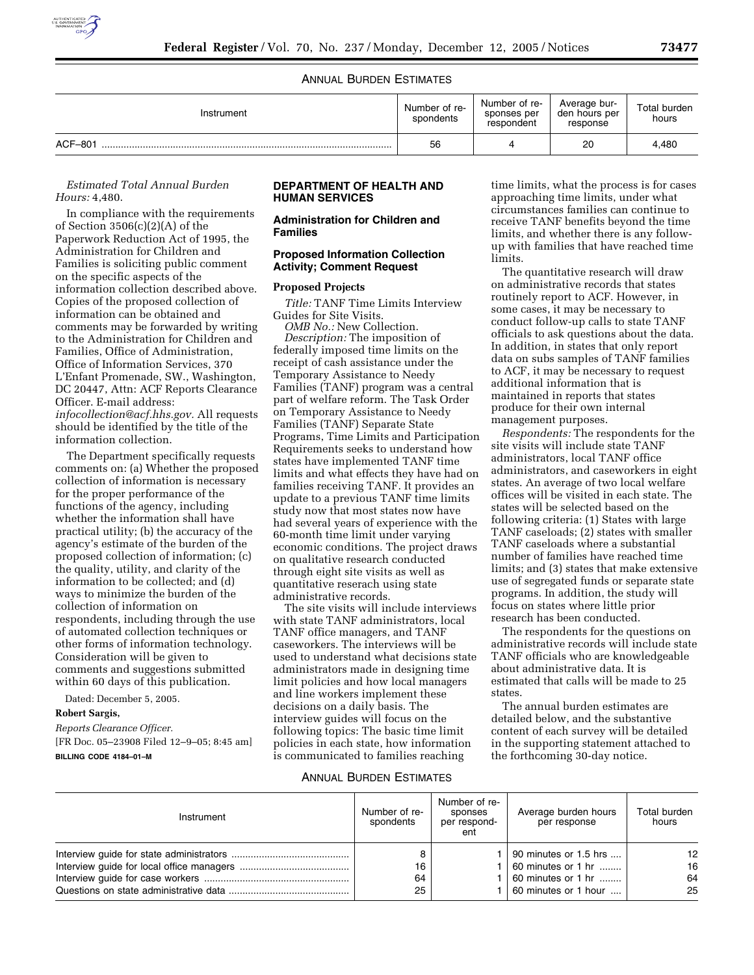

# ANNUAL BURDEN ESTIMATES

| Instrument | Number of re-<br>spondents | Number of re-<br>sponses per<br>respondent | Average bur-<br>den hours per<br>response | Total burden<br>hours |
|------------|----------------------------|--------------------------------------------|-------------------------------------------|-----------------------|
| ACF-801    | 56                         |                                            | 20                                        | 4.480                 |

# *Estimated Total Annual Burden Hours:* 4,480.

In compliance with the requirements of Section 3506(c)(2)(A) of the Paperwork Reduction Act of 1995, the Administration for Children and Families is soliciting public comment on the specific aspects of the information collection described above. Copies of the proposed collection of information can be obtained and comments may be forwarded by writing to the Administration for Children and Families, Office of Administration, Office of Information Services, 370 L'Enfant Promenade, SW., Washington, DC 20447, Attn: ACF Reports Clearance Officer. E-mail address: *infocollection@acf.hhs.gov.* All requests should be identified by the title of the information collection.

The Department specifically requests comments on: (a) Whether the proposed collection of information is necessary for the proper performance of the functions of the agency, including whether the information shall have practical utility; (b) the accuracy of the agency's estimate of the burden of the proposed collection of information; (c) the quality, utility, and clarity of the information to be collected; and (d) ways to minimize the burden of the collection of information on respondents, including through the use of automated collection techniques or other forms of information technology. Consideration will be given to comments and suggestions submitted within 60 days of this publication.

Dated: December 5, 2005.

# **Robert Sargis,**

*Reports Clearance Officer.*  [FR Doc. 05–23908 Filed 12–9–05; 8:45 am] **BILLING CODE 4184–01–M** 

# **DEPARTMENT OF HEALTH AND HUMAN SERVICES**

#### **Administration for Children and Families**

#### **Proposed Information Collection Activity; Comment Request**

#### **Proposed Projects**

*Title:* TANF Time Limits Interview Guides for Site Visits.

*OMB No.:* New Collection. *Description:* The imposition of federally imposed time limits on the receipt of cash assistance under the Temporary Assistance to Needy Families (TANF) program was a central part of welfare reform. The Task Order on Temporary Assistance to Needy Families (TANF) Separate State Programs, Time Limits and Participation Requirements seeks to understand how states have implemented TANF time limits and what effects they have had on families receiving TANF. It provides an update to a previous TANF time limits study now that most states now have had several years of experience with the 60-month time limit under varying economic conditions. The project draws on qualitative research conducted through eight site visits as well as quantitative reserach using state administrative records.

The site visits will include interviews with state TANF administrators, local TANF office managers, and TANF caseworkers. The interviews will be used to understand what decisions state administrators made in designing time limit policies and how local managers and line workers implement these decisions on a daily basis. The interview guides will focus on the following topics: The basic time limit policies in each state, how information is communicated to families reaching

time limits, what the process is for cases approaching time limits, under what circumstances families can continue to receive TANF benefits beyond the time limits, and whether there is any followup with families that have reached time limits.

The quantitative research will draw on administrative records that states routinely report to ACF. However, in some cases, it may be necessary to conduct follow-up calls to state TANF officials to ask questions about the data. In addition, in states that only report data on subs samples of TANF families to ACF, it may be necessary to request additional information that is maintained in reports that states produce for their own internal management purposes.

*Respondents:* The respondents for the site visits will include state TANF administrators, local TANF office administrators, and caseworkers in eight states. An average of two local welfare offices will be visited in each state. The states will be selected based on the following criteria: (1) States with large TANF caseloads; (2) states with smaller TANF caseloads where a substantial number of families have reached time limits; and (3) states that make extensive use of segregated funds or separate state programs. In addition, the study will focus on states where little prior research has been conducted.

The respondents for the questions on administrative records will include state TANF officials who are knowledgeable about administrative data. It is estimated that calls will be made to 25 states.

The annual burden estimates are detailed below, and the substantive content of each survey will be detailed in the supporting statement attached to the forthcoming 30-day notice.

# ANNUAL BURDEN ESTIMATES

| Instrument | Number of re-<br>spondents | Number of re-<br>sponses<br>per respond-<br>ent | Average burden hours<br>per response                                                      | Total burden<br>hours               |
|------------|----------------------------|-------------------------------------------------|-------------------------------------------------------------------------------------------|-------------------------------------|
|            | 16<br>64<br>25             |                                                 | 90 minutes or 1.5 hrs<br>60 minutes or 1 hr<br>60 minutes or 1 hr<br>60 minutes or 1 hour | $12 \overline{ }$<br>16<br>64<br>25 |